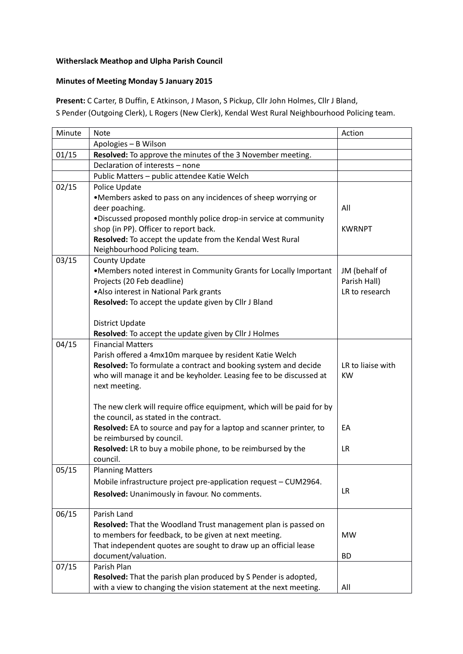## **Witherslack Meathop and Ulpha Parish Council**

## **Minutes of Meeting Monday 5 January 2015**

**Present:** C Carter, B Duffin, E Atkinson, J Mason, S Pickup, Cllr John Holmes, Cllr J Bland, S Pender (Outgoing Clerk), L Rogers (New Clerk), Kendal West Rural Neighbourhood Policing team.

| Minute | <b>Note</b>                                                                       | Action            |
|--------|-----------------------------------------------------------------------------------|-------------------|
|        | Apologies - B Wilson                                                              |                   |
| 01/15  | Resolved: To approve the minutes of the 3 November meeting.                       |                   |
|        | Declaration of interests - none                                                   |                   |
|        | Public Matters - public attendee Katie Welch                                      |                   |
| 02/15  | Police Update                                                                     |                   |
|        | •Members asked to pass on any incidences of sheep worrying or                     |                   |
|        | deer poaching.                                                                    | All               |
|        | . Discussed proposed monthly police drop-in service at community                  |                   |
|        | shop (in PP). Officer to report back.                                             | <b>KWRNPT</b>     |
|        | Resolved: To accept the update from the Kendal West Rural                         |                   |
|        | Neighbourhood Policing team.                                                      |                   |
| 03/15  | County Update                                                                     |                   |
|        | •Members noted interest in Community Grants for Locally Important                 | JM (behalf of     |
|        | Projects (20 Feb deadline)                                                        | Parish Hall)      |
|        | •Also interest in National Park grants                                            | LR to research    |
|        | Resolved: To accept the update given by Cllr J Bland                              |                   |
|        |                                                                                   |                   |
|        | <b>District Update</b>                                                            |                   |
| 04/15  | Resolved: To accept the update given by Cllr J Holmes<br><b>Financial Matters</b> |                   |
|        | Parish offered a 4mx10m marquee by resident Katie Welch                           |                   |
|        | Resolved: To formulate a contract and booking system and decide                   | LR to liaise with |
|        | who will manage it and be keyholder. Leasing fee to be discussed at               | <b>KW</b>         |
|        | next meeting.                                                                     |                   |
|        |                                                                                   |                   |
|        | The new clerk will require office equipment, which will be paid for by            |                   |
|        | the council, as stated in the contract.                                           |                   |
|        | Resolved: EA to source and pay for a laptop and scanner printer, to               | EA                |
|        | be reimbursed by council.                                                         |                   |
|        | Resolved: LR to buy a mobile phone, to be reimbursed by the                       | LR.               |
|        | council.                                                                          |                   |
| 05/15  | <b>Planning Matters</b>                                                           |                   |
|        | Mobile infrastructure project pre-application request - CUM2964.                  |                   |
|        | Resolved: Unanimously in favour. No comments.                                     | LR.               |
|        |                                                                                   |                   |
| 06/15  | Parish Land                                                                       |                   |
|        | Resolved: That the Woodland Trust management plan is passed on                    |                   |
|        | to members for feedback, to be given at next meeting.                             | <b>MW</b>         |
|        | That independent quotes are sought to draw up an official lease                   |                   |
|        | document/valuation.                                                               | <b>BD</b>         |
| 07/15  | Parish Plan                                                                       |                   |
|        | Resolved: That the parish plan produced by S Pender is adopted,                   |                   |
|        | with a view to changing the vision statement at the next meeting.                 | All               |